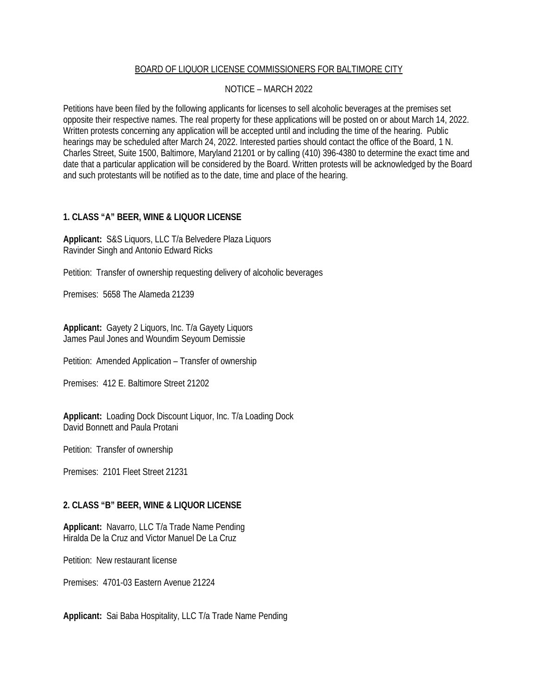## BOARD OF LIQUOR LICENSE COMMISSIONERS FOR BALTIMORE CITY

## NOTICE – MARCH 2022

Petitions have been filed by the following applicants for licenses to sell alcoholic beverages at the premises set opposite their respective names. The real property for these applications will be posted on or about March 14, 2022. Written protests concerning any application will be accepted until and including the time of the hearing. Public hearings may be scheduled after March 24, 2022. Interested parties should contact the office of the Board, 1 N. Charles Street, Suite 1500, Baltimore, Maryland 21201 or by calling (410) 396-4380 to determine the exact time and date that a particular application will be considered by the Board. Written protests will be acknowledged by the Board and such protestants will be notified as to the date, time and place of the hearing.

# **1. CLASS "A" BEER, WINE & LIQUOR LICENSE**

**Applicant:** S&S Liquors, LLC T/a Belvedere Plaza Liquors Ravinder Singh and Antonio Edward Ricks

Petition: Transfer of ownership requesting delivery of alcoholic beverages

Premises: 5658 The Alameda 21239

**Applicant:** Gayety 2 Liquors, Inc. T/a Gayety Liquors James Paul Jones and Woundim Seyoum Demissie

Petition: Amended Application – Transfer of ownership

Premises: 412 E. Baltimore Street 21202

**Applicant:** Loading Dock Discount Liquor, Inc. T/a Loading Dock David Bonnett and Paula Protani

Petition: Transfer of ownership

Premises: 2101 Fleet Street 21231

#### **2. CLASS "B" BEER, WINE & LIQUOR LICENSE**

**Applicant:** Navarro, LLC T/a Trade Name Pending Hiralda De la Cruz and Victor Manuel De La Cruz

Petition: New restaurant license

Premises: 4701-03 Eastern Avenue 21224

**Applicant:** Sai Baba Hospitality, LLC T/a Trade Name Pending